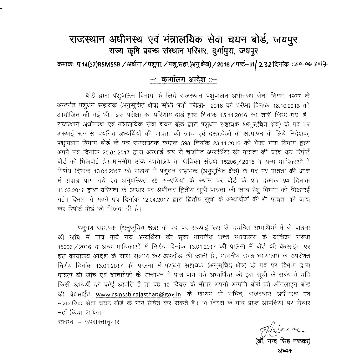## राजस्थान अधीनस्थ एवं मंत्रालयिक सेवा चयन बोर्ड, जयपुर <sup>~</sup> <sup>~</sup> >riPCl <sup>~</sup> *qR~N, ~~lf~'<I,* \l1l1~'<

: क्रमांक: प.14(37)RSMSSB / अर्थना / पशुपा. / पशु.सहा.(अनु.क्षेत्र) / 2016 / पार्ट--III<mark>/ 2.32</mark> दिनांक: 20 -06 2017

## **-:: rPlllh."Il1 ~ ::-**

बोर्ड द्वारा पशुपालन विभाग के लिये राजस्थान पशुपालन अधीनस्थ सेवा नियम, 1977 के अन्तर्गत पशुधन सहायक (अनुसूचित क्षेत्र) सीधी भर्ती परीक्षा-- 2016 की परीक्षा दिनांक 16,10,2016 को 311योजित की गई थी। इस परीक्षा का परिणान बोर्ड द्वारा दिनांक 15.11.2016 को जारी किया गया है। राजस्थान अधीनस्थ एवं मंत्रालयिक सेवा चयन बोर्ड द्वारा पशूधन सहायक (अनुसूचित क्षेत्र) के पद पर अस्थाई रूप से चयनित अभ्यर्थियों की पात्रता की जांच एवं दस्तावेजों के सत्यापन के लिये निदेशक, पशुपालन विभाग बोर्ड के पत्र समसंख्यक कमांक 598 दिनांक 23.11.2016 को भेजा गया विभाग द्वारा अपने पत्र दिनांक 20.01.2017 द्वारा अस्थाई रूप से चयनित अभ्यर्थियों की पात्रता की जांच कर रिपोर्ट बोर्ड को भिजवाई है। माननीय उच्च न्यायालय के याचिका संख्या 15206 /2016 व अन्य याचिकाओं में निर्णय दिनांक 13.01.2017 की पालना में पशुधन सहायक (अनुसूचित क्षेत्र) के पद पर पात्रता की जांच में अपात्र पाये गये एवं अनुपस्थित रहे अभ्यर्थियों के स्थान पर बोर्ड के पत्र कमांक 94 दिनांक 10.03.2017 द्वारा वरियता के आधार पर श्रेणीवार द्वितीय सूची पात्रता की जांच हेतू विभाग को भिजवाई गई। विभाग ने अपने पत्र दिनांक 12.04.2017 द्वारा द्वितीय सूची के अभ्यर्थियों की भी पात्रता की जांच कर रिपोर्ट बोर्ड को भिजवा दी है।

पशुधन सहायक (अनुसुचित क्षेत्र) के पद पर अस्थाई रूप से चयनित अभ्यर्थियों में से पात्रता की जांच में पात्र पाये गये अभ्यर्थियों की सूची माननीय उच्च न्यायालय के याचिका संख्या 15206 / 2016 व अन्य याचिकाओं में निर्णय दिनांक 13.01.2017 की पालना में बोर्ड की वेबसाईट पर इस कार्यालय आदेश के साथ संलग्न कर अपलोड की जाती है। माननीय उच्च न्यायालय के उपरोक्त निर्णय दिनांक 13.01.2017 की पालना में पशुधन सहायक (अनुसूचित क्षेत्र) के पद पर विभाग द्वारा पात्रता की जांच एवं दस्तावेजों के सत्यापन में पात्र पाये गये अभ्यर्थियों की इस सूची के संबंध में यदि किसी अभ्यर्थी को कोई आपत्ति है तो वह 10 दिवस के भीतर अपनी आपत्ति बोर्ड को ऑनलाईन बोर्ड की वेबसाईट [www.rsmssb.rajasthan@gov.in](mailto:www.rsmssb.rajasthan@gov.in) के माध्यम से सचिव, राजस्थान अधीनस्थ एवं ~~ ~crr <sup>~</sup> <sup>~</sup> q') "lTl1 <sup>~</sup> CR <sup>~</sup> *t* <sup>I</sup> <sup>10</sup> RcR-r cj') <sup>~</sup> <sup>~</sup> 3T <sup>I</sup><sup>q</sup> Pi <11' "CRfcmN  $\overline{r}$ हीं किया जायेगा।

संलग्न :- उपरोक्तानुसार।

*?JtJ-V7* ~ld-C- **(डॉ. नन्द सिंह नर** ~/ff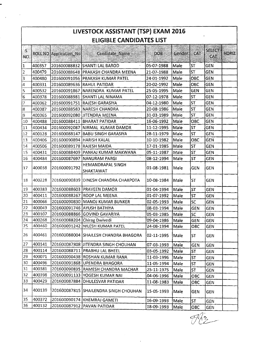| LIVESTOCK ASSISTANT (TSP) EXAM 2016 |        |                                |                                       |            |        |            |                      |       |  |
|-------------------------------------|--------|--------------------------------|---------------------------------------|------------|--------|------------|----------------------|-------|--|
| <b>ELIGIBLE CANDIDATES LIST</b>     |        |                                |                                       |            |        |            |                      |       |  |
| $\mathcal{S}$<br><b>NO</b>          |        | <b>ROLL NO Application No!</b> | Candidate Name                        | <b>DOB</b> | Gender | CAT        | <b>SELECT</b><br>CAT | HORIZ |  |
| 1                                   | 400357 |                                | 201600088832 SHANTI LAL BAROD         | 05-07-1988 | Male   | <b>ST</b>  | <b>GEN</b>           |       |  |
| $\overline{2}$                      | 400479 |                                | 201600088648 PRAKASH CHANDRA MEENA    | 21-07-1988 | Male   | <b>ST</b>  | <b>GEN</b>           |       |  |
| $\vert 3 \vert$                     | 400480 |                                | 201600091056 PRAKASH KUMAR PATEL      | 24-01-1992 | Male   | OBC        | <b>GEN</b>           |       |  |
| $\vert 4$                           | 400331 |                                | 201600089636 RAHUL PATIDAR            | 20-02-1992 | Male   | OBC        | <b>GEN</b>           |       |  |
| 5                                   | 400532 |                                | 201600091867 NARENDRA KUMAR PATEL     | 25-05-1995 | Male   | <b>GEN</b> | GEN                  |       |  |
| 6                                   | 400378 |                                | 201600088981 SHANTI LAL NINAMA        | 07-12-1978 | Male   | <b>ST</b>  | <b>GEN</b>           |       |  |
| 17                                  | 400362 |                                | 201600091751 RAJESH GARASIYA          | 04-12-1980 | Male   | ST         | <b>GEN</b>           |       |  |
| 8                                   | 400387 |                                | 201600088583 NARESH CHANDRA           | 20-08-1986 | Male   | <b>ST</b>  | GEN                  |       |  |
| 9                                   | 400365 |                                | 201600092080 JJITENDRA MEENA          | 31-03-1989 | Male   | <b>ST</b>  | <b>GEN</b>           |       |  |
| 10                                  | 400488 |                                | 201600088411   BHARAT PATIDAR         | 16-06-1992 | Male   | OBC        | <b>GEN</b>           |       |  |
| 11                                  | 400434 |                                | 201600092087 NIRMAL KUMAR DAMOR       | 11-12-1995 | Male   | <b>ST</b>  | <b>GEN</b>           |       |  |
| $ 12\rangle$                        | 400128 | 201600088147                   | <b>BABU SINGH GARASIYA</b>            | 28-11-1979 | Male   | <b>ST</b>  | GEN                  |       |  |
| 13                                  | 400406 | 201600090894 HARISH KALAL      |                                       | 10-10-1982 | Male   | OBC        | <b>GEN</b>           |       |  |
| 14                                  | 400506 | 201600089178                   | <b>RAJESH MAIDA</b>                   | 17-01-1985 | Male   | <b>ST</b>  | <b>GEN</b>           |       |  |
| 15                                  | 400431 | 201600088409                   | PANKAJ KUMAR MAKWANA                  | 05-11-1987 | Male   | <b>ST</b>  | <b>GEN</b>           |       |  |
| 16                                  | 400484 | 201600087697                   | NANURAM PARGI                         | 08-12-1994 | Male   | <b>ST</b>  | <b>GEN</b>           |       |  |
| 17                                  | 400038 | 201600091792                   | <b>HEMANDRAPAL SINGH</b><br>SHAKTAWAT | 01-08-1981 | Male   | <b>GEN</b> | <b>GEN</b>           |       |  |
| 18                                  | 400228 |                                | 201600090839 DINESH CHANDRA CHARPOTA  | 10-08-1984 | Male   | <b>ST</b>  | <b>GEN</b>           |       |  |
| 19                                  | 400383 |                                | 201600088603 PRAVEEN DAMOR            | 01-04-1994 | Male   | <b>ST</b>  | GEN                  |       |  |
| 20                                  | 400411 |                                | 201600088267 ROOP LAL MEENA           | 01-07-1992 | Male   | <b>ST</b>  | GEN                  |       |  |
| 21                                  | 400066 |                                | 201600090830 MANOJ KUMAR BUNKER       | 02-05-1993 | Male   | SC         | <b>GEN</b>           |       |  |
| 22                                  | 400043 |                                | 201600091746 AYUSH BATHIYA            | 08-03-1994 | Male   | <b>GEN</b> | <b>GEN</b>           |       |  |
| 23                                  | 400107 |                                | 201600088866 GOVIND GAVARIYA          | 05-03-1985 | Male   | lsc        | <b>GEN</b>           |       |  |
| 24                                  | 400268 |                                | 201600088204 Chirag Dwivedi           | 09-04-1986 | Male   | <b>GEN</b> | GEN                  |       |  |
| 25                                  | 400460 |                                | 201600091242 NILESH KUMAR PATEL       | 24-08-1994 | Male   | OBC        | GEN                  |       |  |
| 26                                  | 400461 |                                | 201600088004 SHAILESH CHANDRA BHAGORA | 02-11-1995 | Male   | ST         | GEN                  |       |  |
| 27                                  | 400141 |                                | 201600087808 JITENDRA SINGH CHOUHAN   | 07-03-1993 | Male   | GEN        | GEN                  |       |  |
| 28                                  | 400114 |                                | 201600088711 PRABHU LAL BHEEL         | 03-05-1992 | Male   | <b>ST</b>  | <b>GEN</b>           |       |  |
| 29                                  | 400071 |                                | 201600090438 ROSHAN KUMAR RANA        | 11-03-1996 | Male   | ST.        | GEN                  |       |  |
| 30                                  | 400496 |                                | 201600091868 UPENDRA BHAGORA          | 11-05-1994 | Male   | <b>ST</b>  | <b>GEN</b>           |       |  |
| 31                                  | 400381 |                                | 201600090835 RAMESH CHANDRA MACHAR    | 25-11-1975 | Male   | <b>ST</b>  | <b>GEN</b>           |       |  |
| 32                                  | 400398 |                                | 201600091133   YOGESH KUMAR NAI       | 04-06-1996 | Male   | OBC        | <b>GEN</b>           |       |  |
| 33                                  | 400429 |                                | 201600087884 DHULESVAR PATIDAR        | 11-08-1983 | Male   | OBC        | GEN                  |       |  |
| 34                                  | 400139 |                                | 201600087815 SHAILENDRA SINGH CHOUHAN | 15-05-1993 | Male   | <b>GEN</b> | <b>GEN</b>           |       |  |
| 35                                  | 400372 |                                | 201600090174 KHEMRAJ GAMETI           | 16-09-1993 | Male   | <b>ST</b>  | GEN                  |       |  |
| 36                                  | 400132 |                                | 201600087912 PAVAN PATIDAR            | 18-09-1993 | Male   | OBC        | GEN                  |       |  |

 $\sim 10^{11}$  km  $^{-1}$ 

 $\ddot{\phantom{0}}$ 

 $\label{eq:2} \frac{1}{\sqrt{2\pi}}\int_{0}^{\infty}\frac{dx}{\sqrt{2\pi}}\,dx\leq \frac{1}{2\sqrt{2\pi}}\int_{0}^{\infty}\frac{dx}{\sqrt{2\pi}}\,dx.$ 

 $\overline{\mathcal{P}hz}$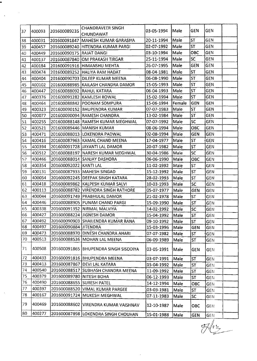|          |                  |                          | <b>CHANDRAVEER SINGH</b>              |                          |              |            |                   |  |
|----------|------------------|--------------------------|---------------------------------------|--------------------------|--------------|------------|-------------------|--|
| 37       | 400093           | 201600089235             | <b>CHUNDAWAT</b>                      | 03-05-1994               | Male         | <b>GEN</b> | <b>GEN</b>        |  |
| 38       | 400031           |                          | 201600091847 MAHESH KUMAR GARASIYA    | 20-11-1994               | Male         | <b>ST</b>  | GEN               |  |
| 39       | 400457           |                          | 201600089240 HITENDRA KUMAR PARGI     | 02-07-1992               | Male         | <b>ST</b>  | <b>GEN</b>        |  |
| 40       | 400449           | 201600090175 RAJAT DANGI |                                       | 03-10-1994               | Male         | OBC        | GEN               |  |
| 41       | 400137           |                          | 201600087840 OM PRAKASH TIRGAR        | 25-11-1994               | Male         | <b>SC</b>  | <b>GEN</b>        |  |
| 42       | 400184           |                          | 201600091916 HIMANSHU MEHTA           | 26-07-1995               | Male         | <b>GEN</b> | <b>GEN</b>        |  |
| 43       | 400474           |                          | 201600089252 HALIYA RAM HADAT         | 08-04-1981               | Male         | <b>ST</b>  | <b>GEN</b>        |  |
| 44       | 400404           |                          | 201600090703 DILEEP KUMAR MEENA       | 06-08-1990               | Male         | <b>ST</b>  | <b>GEN</b>        |  |
| 45       | 400102           |                          | 201600088985 KAILASH CHANDRA DAMOR    | 15-05-1993               | Male         | <b>ST</b>  | <b>GEN</b>        |  |
| 46       | 400447           |                          | 201600088092 RAHUL KATARA             | 06-04-1993               | Male         | ST         | <b>GEN</b>        |  |
| 47       | 400376           |                          | 201600091282 KAMLESH ROWAL            | 15-02-1994               | Male         | <b>ST</b>  | GEN               |  |
| 48       | 400464           |                          | 201600088842 POONAM SOMPURA           | 15-06-1994               | Female       | GEN        | <b>GEN</b>        |  |
| 49       | 400323           |                          | 201600090152 BHUPENDRA KUMAR          | 07-07-1983               | Male         | <b>ST</b>  | <b>GEN</b>        |  |
| 50       | 400077           |                          | 201600090094 RAMESH CHANDRA           | 13-02-1984               | Male         | <b>ST</b>  | <b>GEN</b>        |  |
| 51       | 400255           |                          | 201600088148 RAMESH KUMAR MEGHWAL     | 07-07-1992               | Male         | <b>SC</b>  | <b>GEN</b>        |  |
| 52       | 400521           |                          | 201600089446 MANISH KUMAR             | 08-06-1994               | Male         | OBC        | GEN               |  |
| 53       | 400471           |                          | 201600088013 LOKENDRA PADWAL          | 02-08-1994               | Male         | GEN        | <b>GEN</b>        |  |
| 54       | 400416           |                          | 201600087963 KAMAL CHAND MEENA        | 17-04-1977               | Male         | <b>ST</b>  | <b>GEN</b>        |  |
| 55       | 400394           |                          | 201600091728 JJAYANTI LAL DAMOR       | 20-07-1982               | Male         | <b>ST</b>  | GEN               |  |
| 56       | 400512           |                          | 201600088197 NARESH KUMAR MEGHWAL     | 30-04-1986               | Male         | <b>SC</b>  | <b>GEN</b>        |  |
| 57       | 400466           |                          | 201600088014 SANJAY DASHORA           | 06-06-1990               | Male         | OBC        | <b>GEN</b>        |  |
| 58       | 400354           | 201600092022 KANTI LAL   |                                       | 11-02-1992               | Male         | <b>ST</b>  | <b>GEN</b>        |  |
| 59       | 400131           |                          | 201600087933 MAHESH SINGAD            | 15-12-1992               | Male         | <b>ST</b>  | <b>GEN</b>        |  |
| 60       | 400054           |                          | 201600092245 DEEPAK SINGH KATARA      | 28-02-1993               | Male         | <b>ST</b>  | <b>GEN</b>        |  |
| 61       | 400418           |                          | 201600089862 KALPESH KUMAR SALVI      | 10-03-1993               | Male         | <b>SC</b>  | GEN               |  |
| 62       | 400113           |                          | 201600088782 VIRENDRA SINGH RATHORE   | 05-07-1977               | Male         | <b>GEN</b> | <b>GEN</b>        |  |
| 63       | 400044           |                          | 201600091749 PRABHULAL DAMOR          | 21-02-1978               | Male         | <b>ST</b>  | <b>GEN</b>        |  |
| 64       | 400446           |                          | 201600088905 PUNAM CHAND PARGI        | 15-09-1990               | Male         | <b>ST</b>  | GEN               |  |
| 65       | 400338           |                          | 201600091352 NIRMAL MALVIYA           | 14-02-1992               | Male         | <b>SC</b>  | GEN               |  |
| 66       | 400427           |                          | 201600088224 JIGNESH DAMOR            | 15-04-1992 Male          |              | ST         | GEN               |  |
| 67<br>68 | 400492<br>400497 | 201600090884 JITENDRA    | 201600090903 SHAILENDRA KUMAR RANA    | 09-10-1992               | Male         | <b>ST</b>  | GEN               |  |
| 69       | 400473           |                          | 201600088970 DINESH CHANDRA AHARI     | 15-03-1996<br>07-07-1982 | Male<br>Male | <b>GEN</b> | GEN               |  |
| 70       | 400513           |                          | 201600088536 MOHAN LAL MEENA          | 06-09-1989               | Male         | ST         | <b>GEN</b><br>GEN |  |
|          |                  |                          |                                       |                          |              | <b>ST</b>  |                   |  |
| 71       | 400508           |                          | 201600091865 BHUPENDRA SINGH SISODIYA | 03-05-1991               | Male         | <b>GEN</b> | <b>GEN</b>        |  |
| 72       | 400433           |                          | 201600091816 BHUPENDRA MEENA          | 03-07-1991               | Male         | <b>ST</b>  | GEN               |  |
| 73       | 400413           |                          | 201600087867 DEVI LAL KATARA          | 15-04-1992               | Male         | <b>ST</b>  | <b>GEN</b>        |  |
| 74       | 400540           |                          | 201600088517 SUBHASH CHANDRA MEENA    | 11-09-1992               | Male         | <b>ST</b>  | GEN               |  |
| 75       | 400379           | 201600089780 NITESH BOHA |                                       | 06-12-1993               | Male         | ST         | <b>GEN</b>        |  |
| 76       | 400490           |                          | 201600088655 SURESH PATEL             | 14-12-1994               | Male         | OBC        | GEN               |  |
| 77       | 400397           |                          | 201600088520 VIMAL KUMAR PARGEE       | 03-03-1981               | Male         | ST         | <b>GEN</b>        |  |
| 78       | 400167           |                          | 201600091724 MUKESH MEGHWAL           | 07-11-1983               | Male         | <b>SC</b>  | <b>GEN</b>        |  |
| 79       | 400469           |                          | 201600088602 VIRENDRA KUMAR VAISHNAV  | 12-10-1987               | Male         | OBC        | <b>GEN</b>        |  |
| 80       | 400277           |                          | 201600087898 LOKENDRA SINGH CHOUHAN   | 15-01-1988               | Male         | <b>GEN</b> | GEN               |  |

 $\bar{z}$ 

...

 $\ddot{\phantom{a}}$ 

 $\langle \cdot \rangle$ 

 $\frac{1}{\sqrt{2\pi}}$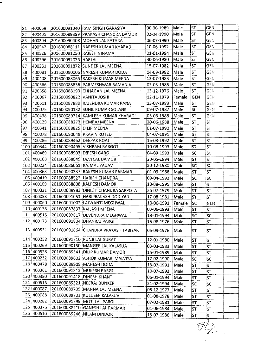| 81  | 400059     |                           | 201600091040 RAM SINGH GARASIYA      | 06-06-1989      | Male   | <b>ST</b>         | GEN                      |  |
|-----|------------|---------------------------|--------------------------------------|-----------------|--------|-------------------|--------------------------|--|
| 82  | 400401     |                           | 201600089359 PRAKASH CHANDRA DAMOR   | 02-04-1990      | Male   | <b>ST</b>         | <b>GEN</b>               |  |
| 83  | 400294     |                           | 201600090408   MOHAN LAL KATARA      | 06-07-1990      | Male   | <b>ST</b>         | GEN                      |  |
| 84  | 400542     |                           | 201600088111  NARESH KUMAR KHARADI   | 10-06-1992      | Male   | <b>ST</b>         | GEN                      |  |
| 85  | 400526     |                           | 201600091250 RAJESH NINAMA           | 01-01-1994      | Male   | <b>ST</b>         | <b>GEN</b>               |  |
| 86  | 400296     | 201600092025 HARLAL       |                                      | 30-06-1980      | Male   | <b>ST</b>         | <b>GEN</b>               |  |
| 87  | 400231     |                           | 201600091872 SUNDER LAL MEENA        | 15-07-1982      | Male   | <b>ST</b>         | GEN                      |  |
| 88  | 400081     |                           | 201600090005 NARESH KUMAR DODA       | 04-09-1982      | Male   | <b>ST</b>         | <b>GEM</b>               |  |
| 89  | 400408     |                           | 201600088065 RAKESH KUMAR MEENA      | 12-07-1983      | Male   | <b>ST</b>         | GEN                      |  |
| 90  | 400366     |                           | 201600088836 PARMESHWAR BAMANIA      | 02-03-1985      | Male   | <b>ST</b>         | GEN                      |  |
| 91  | 400358     |                           | 201600088193 CHHAGAN LAL MEENA       | 13-12-1976      | Male   | <b>ST</b>         | <b>GEN</b>               |  |
| 92. | 400067     | 201600090822 VANITA JOSHI |                                      | 12-11-1979      | Female | <b>GEN</b>        | <b>GEN</b>               |  |
| 93  | 400511     |                           | 201600087880 RAJENDRA KUMAR RANA     | 15-07-1983      | Male   | <b>ST</b>         | <b>GEN</b>               |  |
| 94  | 400075     |                           | 201600090132 SUNIL KUMAR SOLANKI     | 09-07-1987      | Male]  | <b>SC</b>         | <b>GEN</b>               |  |
| 95  | 400438     |                           | 201600089714 KAMLESH KUMAR KHARADI   | 05-06-1988      | Male   | <b>ST</b>         | GEN                      |  |
| 96  | 400129     |                           | 201600088273 HEMRAJ MEENA            | 20-06-1988      | Male   | <b>ST</b>         | <b>ST</b>                |  |
| 97  | 400341     | 201600088825 DILIP MEENA  |                                      | 01-07-1990      | Male   | <b>ST</b>         | ST.                      |  |
| 98  | 400078     | 201600090049 PRAVIN KOTED |                                      | 04-07-1991      | Male   | <b>ST</b>         | <b>ST</b>                |  |
| 99  | 400286     | 201600089462  DEEPAK ROAT |                                      | 16-08-1992      | Male   | <b>ST</b>         | <b>ST</b>                |  |
| 100 | 400544     |                           | 201600090495 VISHRAM BARGOT          | 10-08-1993      | Male   | <b>ST</b>         | ST                       |  |
|     | 101 400489 | 201600088903 DIPESH GARG  |                                      | 04-09-1993      | Male   | <b>SC</b>         | <b>SC</b>                |  |
|     | 102 400108 |                           | 201600088849 DEVI LAL DAMOR          | 20-05-1994      | Male   | <b>ST</b>         | ST                       |  |
|     | 103 400224 |                           | 201600086061 RAJMAL YADAV            | 20-12-1980      | Male   | <b>SC</b>         | SC                       |  |
|     | 104 400368 |                           | 201600090387 RAKESH KUMAR PARMAR     | 01-09-1988      | Male   | <b>ST</b>         | <b>ST</b>                |  |
|     | 105 400419 |                           | 201600088522 HARISH CHANDRA          | 09-04-1992      | Male   | <b>SC</b>         | SC                       |  |
|     | 106 400109 |                           | 201600088808 KALPESH DAMOR           | 10-08-1995      | Male   | <b>ST</b>         | <b>ST</b>                |  |
|     | 107 400321 |                           | 201600088983 DINESH CHANDRA SARPOTA  | 26-07-1979      | Male   | <b>ST</b>         | <b>ST</b>                |  |
|     | 108 400058 |                           | 201600091051 HARIPRAKASH DODIYAR     | 17-08-1981      | Male   | <b>ST</b>         | ST                       |  |
|     | 109 400060 |                           | 201600091002 LAJWANTI MEGHWAL        | 10-06-1991      | Female | lsc               | <b>GEN</b>               |  |
|     | 110 400138 |                           | 201600087837 KAILASH MEENA           | 03-06-1993      | Male   | <b>ST</b>         | ST                       |  |
|     |            |                           |                                      | 18-01-1994 Male |        | $ \overline{SC} $ | $\overline{\mathsf{sc}}$ |  |
|     | 112 400173 |                           | 201600091804   DHANRAJ PARGI         | 15-08-1976      | Male   | <b>ST</b>         | <b>ST</b>                |  |
|     | 113 400531 |                           | 201600091864 CHANDRA PRAKASH TABIYAR | 05-09-1976      | Male   | <b>ST</b>         | <b>ST</b>                |  |
|     | 114 400258 |                           | 201600091710 PUNJI LAL SURAT         | 12-01-1980      | Male   | ST                | <b>ST</b>                |  |
|     | 115 400269 |                           | 201600090150 MANGEE LAL KALASUA      | 03-03-1983      | Male   | <b>ST</b>         | <b>ST</b>                |  |
|     | 116 400528 |                           | 201600089341 DILIP KUMAR DAMOR       | 15-01-1989      | Male   | <b>ST</b>         | <b>ST</b>                |  |
| 117 | 400232     |                           | 201600089602 ASHOK KUMAR MALVIYA     | 17-02-1990      | Male   | <b>SC</b>         | SC                       |  |
| 118 | 400478     |                           | 201600088909 MAHESH DODA             | 13-07-1991      | Male   | <b>ST</b>         | <b>ST</b>                |  |
| 119 | 400361     |                           | 201600091313 MUKESH PARGI            | 10-07-1993      | Male   | <b>ST</b>         | <b>ST</b>                |  |
| 120 | 400350     |                           | 201600091418 DINESH KHANT            | 05-01-1994      | Male   | ST                | <b>ST</b>                |  |
| 121 | 400516     |                           | 201600089521 NEERAJ BUNKER           | 21-02-1994      | Male   | SC                | <b>SC</b>                |  |
| 122 | 400087     |                           | 201600089705 MANNA LAL MEENA         | 05-12-1977      | Male   | ST                | <b>ST</b>                |  |
|     | 123 400088 |                           | 201600089703 KULDEEP KALASUA         | 01-08-1978      | Male   | <b>ST</b>         | ST                       |  |
| 124 | 400282     |                           | 201600091799 MOTI LAL PARGI          | 07-02-1981      | Male   | <b>ST</b>         | ST                       |  |
|     | 125 400375 |                           | 201600088210 GANESH LAL PARMAR       | 01-06-1984      | Male   | ST                | <b>ST</b>                |  |
|     | 126 400510 |                           | 201600089246 NILAM DINDOR            | 15-07-1986      | Male   | ST                | ST                       |  |
|     |            |                           |                                      |                 |        |                   |                          |  |

 $\hat{\boldsymbol{\beta}}$ 

 $\overline{a}$ 

 $\frac{1}{\sqrt{2}}$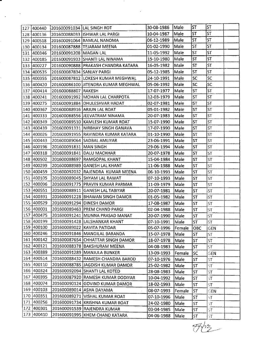|     | 127  400440      | 201600091034 LAL SINGH ROT |                                      | 30-08-1986        | Male   | <b>ST</b> | ST         |  |
|-----|------------------|----------------------------|--------------------------------------|-------------------|--------|-----------|------------|--|
|     | 128 400136       |                            | 201600088033   ISHWAR LAL PARGI      | 10-04-1987        | Male   | <b>ST</b> | <b>ST</b>  |  |
|     | 129 400518       |                            | 201600091064 RAMLAL NANOMA           | 06-12-1989        | Male   | <b>ST</b> | <b>ST</b>  |  |
|     | 130  400134      |                            | 1201600087888 TEJARAM MEENA          | 01-02-1990        | Male   | <b>ST</b> | ST         |  |
|     | 131 400346       | 201600091208 MAGAN LAL     |                                      | 11-05-1992        | Male   | <b>ST</b> | ST)        |  |
|     | 132 400185       |                            | 201600091933 SHANTI LAL NINAMA       | 15-10-1980        | Male   | <b>ST</b> | <b>ST</b>  |  |
|     | 133 400227       |                            | 201600090888 PRAKASH CHANDRA KATARA  | 16-05-1982        | Male   | <b>ST</b> | <b>ST</b>  |  |
|     | 134 400535       | 201600087834 SANJAY PARGI  |                                      | 05-12-1985        | Male   | <b>ST</b> | <b>ST</b>  |  |
|     | 135 400355       |                            | 201600087812 LOKESH KUMAR MEGHWAL    | 24-10-1991        | Male   | SC        | <b>SC</b>  |  |
|     | 136 400420       |                            | 201600086100 JJITENDRA KUMAR MEGHWAL | 05-06-1992        | Male   | lsc       | SC.        |  |
|     | 137 400414       | 201600088807 RAKESH        |                                      | 17-07-1977        | Male   | <b>ST</b> | <b>ST</b>  |  |
|     | 138 400241       |                            | 201600091992 MOHAN LAL CHARPOTA      | 12-03-1979        | Male   | <b>ST</b> | ST         |  |
|     | 139 400275       |                            | 201600091884 DHULESHVAR HADAT        | 02-07-1981        | Male   | <b>ST</b> | ST         |  |
|     | 140 400367       |                            | 201600088916 ARJUN LAL ROAT          | 05-01-1982        | Male   | <b>ST</b> | <b>ST</b>  |  |
|     | 141 400333       |                            | 201600088556 JEEVATRAM NINAMA        | 20-07-1983        | Male   | <b>ST</b> | ST         |  |
|     | 142 400349       |                            | 201600089510 KAMLESH KUMAR ROAT      | 15-07-1990        | Male   | <b>ST</b> | <b>ST</b>  |  |
|     | 143 400439       |                            | 201600091331 NIRBHAY SINGH GANAVA    | 17-07-1990        | Male   | <b>ST</b> | <b>ST</b>  |  |
|     | 144 400026       |                            | 201600091955 RAVINDRA KUMAR KATARA   | 01-10-1990        | Male   | <b>ST</b> | <b>ST</b>  |  |
|     | 145 400443       |                            | 201600089064 SADBAL AMLIYAR          | 23-06-1991        | Male   | <b>ST</b> | <b>ST</b>  |  |
|     | 146 400196       | 201600091831 MAN SINGH     |                                      | 29-06-1994        | Male   | <b>ST</b> | <b>ST</b>  |  |
|     | 147 400318       |                            | 201600091841 DALU MACHHAR            | 20-07-1978        | Male   | <b>ST</b> | ST         |  |
|     | 148 400502       |                            | 201600088697 RAMGOPAL KHANT          | 15-04-1984        | Male   | ST        | <b>ST</b>  |  |
|     | 149 400299       |                            | 201600088989 GANESH LAL KHANT        | 11-06-1988        | Male   | <b>ST</b> | ST         |  |
|     | 150 400459       |                            | 201600092032 RAJENDRA KUMAR MEENA    | 06-10-1993        | Male   | <b>ST</b> | ST.        |  |
|     | 151 400105       |                            | 201600089045 SHYAM LAL RAWAT         | 07-10-1993        | Male   | <b>ST</b> | <b>ST</b>  |  |
|     | 152 400096       |                            | 201600091775 PRAVIN KUMAR PARMAR     | 11-09-1979        | Male   | <b>ST</b> | ST         |  |
|     | 153 400551       |                            | 201600088911 GANESH LAL TABIYAR      | 20-07-1981        | Male   | <b>ST</b> | <b>ST</b>  |  |
|     | 154 400391       |                            | 201600091228 BHAWAN SINGH DAMOR      | 01-05-1982        | Male   | <b>ST</b> | ST.        |  |
|     | 155 400529       |                            | 201600091294 DINESH DAMOR            | 17-08-1987        | Male   | <b>ST</b> | ST         |  |
|     | 156 400001       |                            | 201600089463 PREM CHAND PARGI        | 02-04-1988        | Male   | <b>ST</b> | <b>ST</b>  |  |
|     | 157 400475       |                            | 201600091241 MUNNA PRASAD MANAT      | 20-07-1990   Male |        | ST        | ST         |  |
|     | 158 400199       |                            | 201600091428 LALSHANKAR KHANT        | 07-10-1991        | Male   | <b>ST</b> | <b>ST</b>  |  |
|     | 159 400100       |                            | 201600089022 KAVITA PATIDAR          | 05-07-1996        | Female | ОВС       | <b>GEN</b> |  |
| 160 | 400246           |                            | 201600091846   MANGILAL BARANDA      | 15-07-1978        | Male   | <b>ST</b> | <b>ST</b>  |  |
| 161 | 400142           |                            | 201600087654 CHHATTAR SINGH DAMOR    | 18-07-1978        | Male   | ST        | ST.        |  |
|     | 162 400121       |                            | 201600088378 BAKSHURAM MEENA         | 04-08-1983        | Male   | ST        | lst.       |  |
| 163 | 400389           |                            | 201600091289 MANJULA BUNKER          | 13-09-1993        | Female | <b>SC</b> | GEN        |  |
|     | 164 400514       |                            | 201600088432 RAMESH CHANDRA BAROD    | 07-10-1976        | Male   | <b>ST</b> | ST.        |  |
|     | 165 400110       |                            | 201600088785 JJAGDISH KUMAR DAMOR    | 25-02-1982        | Male   | <b>ST</b> | ST.        |  |
| 166 | 400324           |                            | 201600092094 SHANTI LAL KOTED        | 28-08-1983        | Male   | ST        | ST.        |  |
| 167 | 400395           |                            | 201600087920 RAMESH KUMAR DODIYAR    | 10-04-1992        | Male   | ST        | ST         |  |
| 168 | 400074           |                            | 201600090124 GOVIND KUMAR DAMOR      | 18-02-1993        | Male   | <b>ST</b> | ST         |  |
| 169 | 400103           |                            | 201600089014   ASHA DAYAMA           | 08-07-1993        | Female | ۱ST       | <b>GEN</b> |  |
|     | 170 400351       |                            | 201600089271 VISHAL KUMAR ROAT       | 07-10-1996        | Male   | <b>ST</b> | ST         |  |
| 171 | 400256           |                            | 201600091734 KRISHNA KUMAR ROAT      | 24-02-1980        | Male   | <b>ST</b> | 5T         |  |
|     | 172 400301       |                            | 201600091539 RAJENDRA KUMAR          | 03-04-1985        | Male   | <b>ST</b> | ST.        |  |
| 173 | $ 400410\rangle$ |                            | 201600091995 KHEM CHAND KATARA       | 04-06-1988        | Male   | ST        | ST         |  |
|     |                  |                            |                                      |                   |        |           |            |  |

 $\sim$ 

 $\ddot{\phantom{a}}$ 

 $\ddot{\phantom{0}}$ 

 $\sim$ 

 $\frac{1}{\sqrt{1+\frac{1}{2}}}$